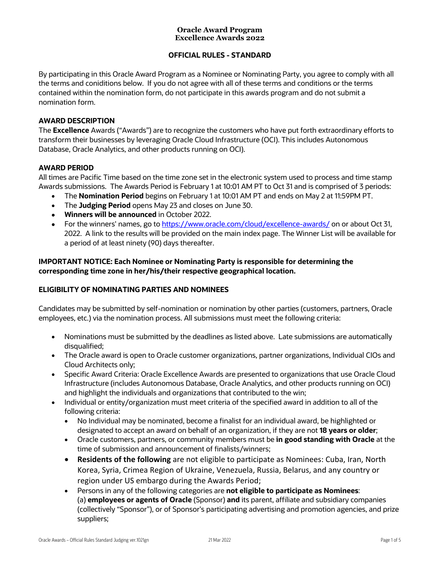#### **Oracle Award Program Excellence Awards 2022**

# **OFFICIAL RULES - STANDARD**

 By participating in this Oracle Award Program as a Nominee or Nominating Party, you agree to comply with all the terms and coniditions below. If you do not agree with all of these terms and conditions or the terms contained within the nomination form, do not participate in this awards program and do not submit a nomination form.

# **AWARD DESCRIPTION**

 The **Excellence** Awards ("Awards") are to recognize the customers who have put forth extraordinary efforts to transform their businesses by leveraging Oracle Cloud Infrastructure (OCI). This includes Autonomous Database, Oracle Analytics, and other products running on OCI).

#### **AWARD PERIOD**

 All times are Pacific Time based on the time zone set in the electronic system used to process and time stamp Awards submissions. The Awards Period is February 1 at 10:01 AM PT to Oct 31 and is comprised of 3 periods:

- The **Nomination Period** begins on February 1 at 10:01 AM PT and ends on May 2 at 11:59PM PT.
- The **Judging Period** opens May 23 and closes on June 30.
- **Winners will be announced** in October 2022.
- For the winners' names, go to [https://www.oracle.com/cloud/excellence-awards/](https://www.oracle.com/cloud/excellence-awards) on or about Oct 31, a period of at least ninety (90) days thereafter. 2022. A link to the results will be provided on the main index page. The Winner List will be available for

# **IMPORTANT NOTICE: Each Nominee or Nominating Party is responsible for determining the corresponding time zone in her/his/their respective geographical location.**

## **ELIGIBILITY OF NOMINATING PARTIES AND NOMINEES**

 Candidates may be submitted by self-nomination or nomination by other parties (customers, partners, Oracle employees, etc.) via the nomination process. All submissions must meet the following criteria:

- • Nominations must be submitted by the deadlines as listed above. Late submissions are automatically disqualified;
- • The Oracle award is open to Oracle customer organizations, partner organizations, Individual CIOs and Cloud Architects only;
- • Specific Award Criteria: Oracle Excellence Awards are presented to organizations that use Oracle Cloud and highlight the individuals and organizations that contributed to the win; Infrastructure (includes Autonomous Database, Oracle Analytics, and other products running on OCI)
- • Individual or entity/organization must meet criteria of the specified award in addition to all of the following criteria:
	- • No Individual may be nominated, become a finalist for an individual award, be highlighted or designated to accept an award on behalf of an organization, if they are not **18 years or older**;
	- • Oracle customers, partners, or community members must be **in good standing with Oracle** at the time of submission and announcement of finalists/winners;
	- **Residents of the following** are not eligible to participate as Nominees: Cuba, Iran, North Korea, Syria, Crimea Region of Ukraine, Venezuela, Russia, Belarus, and any country or region under US embargo during the Awards Period;
	- • Persons in any of the following categories are **not eligible to participate as Nominees**:  (a) **employees or agents of Oracle** (Sponsor) **and** its parent, affiliate and subsidiary companies (collectively "Sponsor"), or of Sponsor's participating advertising and promotion agencies, and prize suppliers;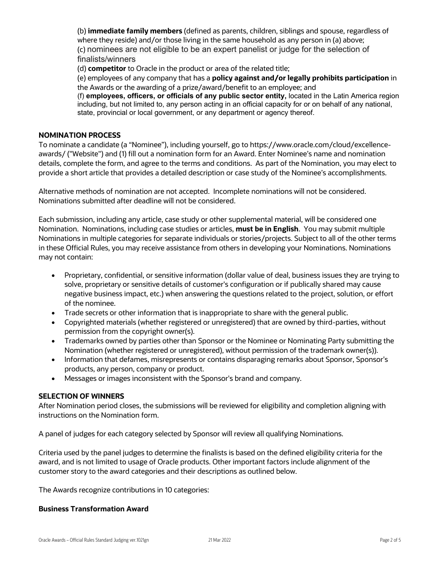(b) **immediate family members** (defined as parents, children, siblings and spouse, regardless of where they reside) and/or those living in the same household as any person in (a) above; (c) nominees are not eligible to be an expert panelist or judge for the selection of finalists/winners

(d) **competitor** to Oracle in the product or area of the related title;

 (e) employees of any company that has a **policy against and/or legally prohibits participation** in the Awards or the awarding of a prize/award/benefit to an employee; and

 (f) **employees, officers, or officials of any public sector entity,** located in the Latin America region including, but not limited to, any person acting in an official capacity for or on behalf of any national, state, provincial or local government, or any department or agency thereof.

#### **NOMINATION PROCESS**

 To nominate a candidate (a "Nominee"), including yourself, go to<https://www.oracle.com/cloud/excellence>- awards/ ("Website") and (1) fill out a nomination form for an Award. Enter Nominee's name and nomination details, complete the form, and agree to the terms and conditions. As part of the Nomination, you may elect to provide a short article that provides a detailed description or case study of the Nominee's accomplishments.

 Alternative methods of nomination are not accepted. Incomplete nominations will not be considered. Nominations submitted after deadline will not be considered.

 Each submission, including any article, case study or other supplemental material, will be considered one Nomination. Nominations, including case studies or articles, **must be in English**. You may submit multiple Nominations in multiple categories for separate individuals or stories/projects. Subject to all of the other terms may not contain: in these Official Rules, you may receive assistance from others in developing your Nominations. Nominations

- • Proprietary, confidential, or sensitive information (dollar value of deal, business issues they are trying to solve, proprietary or sensitive details of customer's configuration or if publically shared may cause negative business impact, etc.) when answering the questions related to the project, solution, or effort of the nominee.
- Trade secrets or other information that is inappropriate to share with the general public.
- • Copyrighted materials (whether registered or unregistered) that are owned by third-parties, without permission from the copyright owner(s).
- • Trademarks owned by parties other than Sponsor or the Nominee or Nominating Party submitting the Nomination (whether registered or unregistered), without permission of the trademark owner(s)).
- products, any person, company or product. • Information that defames, misrepresents or contains disparaging remarks about Sponsor, Sponsor's
- Messages or images inconsistent with the Sponsor's brand and company.

#### **SELECTION OF WINNERS**

 After Nomination period closes, the submissions will be reviewed for eligibility and completion aligning with instructions on the Nomination form.

A panel of judges for each category selected by Sponsor will review all qualifying Nominations.

 Criteria used by the panel judges to determine the finalists is based on the defined eligibility criteria for the award, and is not limited to usage of Oracle products. Other important factors include alignment of the customer story to the award categories and their descriptions as outlined below.

The Awards recognize contributions in 10 categories:

#### **Business Transformation Award**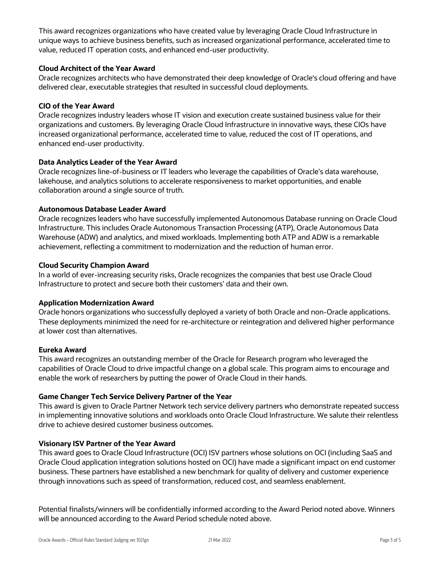This award recognizes organizations who have created value by leveraging Oracle Cloud Infrastructure in unique ways to achieve business benefits, such as increased organizational performance, accelerated time to value, reduced IT operation costs, and enhanced end-user productivity.

## **Cloud Architect of the Year Award**

 Oracle recognizes architects who have demonstrated their deep knowledge of Oracle's cloud offering and have delivered clear, executable strategies that resulted in successful cloud deployments.

## **CIO of the Year Award**

 Oracle recognizes industry leaders whose IT vision and execution create sustained business value for their organizations and customers. By leveraging Oracle Cloud Infrastructure in innovative ways, these CIOs have increased organizational performance, accelerated time to value, reduced the cost of IT operations, and enhanced end-user productivity.

## **Data Analytics Leader of the Year Award**

 Oracle recognizes line-of-business or IT leaders who leverage the capabilities of Oracle's data warehouse, collaboration around a single source of truth. lakehouse, and analytics solutions to accelerate responsiveness to market opportunities, and enable

## **Autonomous Database Leader Award**

 Oracle recognizes leaders who have successfully implemented Autonomous Database running on Oracle Cloud Infrastructure. This includes Oracle Autonomous Transaction Processing (ATP), Oracle Autonomous Data Warehouse (ADW) and analytics, and mixed workloads. Implementing both ATP and ADW is a remarkable achievement, reflecting a commitment to modernization and the reduction of human error.

## **Cloud Security Champion Award**

 In a world of ever-increasing security risks, Oracle recognizes the companies that best use Oracle Cloud Infrastructure to protect and secure both their customers' data and their own.

## **Application Modernization Award**

 Oracle honors organizations who successfully deployed a variety of both Oracle and non-Oracle applications. These deployments minimized the need for re-architecture or reintegration and delivered higher performance at lower cost than alternatives.

## **Eureka Award**

 This award recognizes an outstanding member of the Oracle for Research program who leveraged the capabilities of Oracle Cloud to drive impactful change on a global scale. This program aims to encourage and enable the work of researchers by putting the power of Oracle Cloud in their hands.

## **Game Changer Tech Service Delivery Partner of the Year**

 This award is given to Oracle Partner Network tech service delivery partners who demonstrate repeated success drive to achieve desired customer business outcomes. in implementing innovative solutions and workloads onto Oracle Cloud Infrastructure. We salute their relentless

## **Visionary ISV Partner of the Year Award**

 This award goes to Oracle Cloud Infrastructure (OCI) ISV partners whose solutions on OCI (including SaaS and Oracle Cloud application integration solutions hosted on OCI) have made a significant impact on end customer business. These partners have established a new benchmark for quality of delivery and customer experience through innovations such as speed of transformation, reduced cost, and seamless enablement.

 Potential finalists/winners will be confidentially informed according to the Award Period noted above. Winners will be announced according to the Award Period schedule noted above.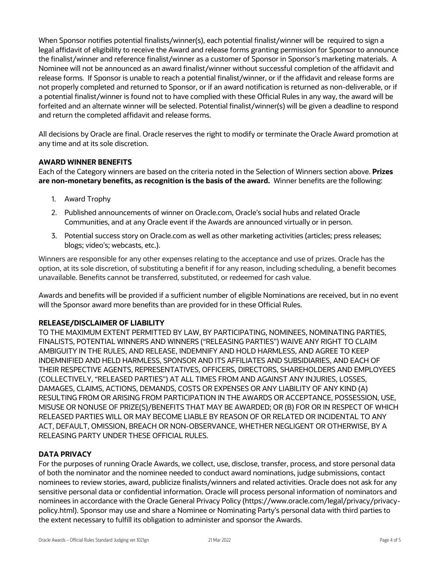When Sponsor notifies potential finalists/winner(s), each potential finalist/winner will be required to sign a legal affidavit of eligibility to receive the Award and release forms granting permission for Sponsor to announce the finalist/winner and reference finalist/winner as a customer of Sponsor in Sponsor's marketing materials. A Nominee will not be announced as an award finalist/winner without successful completion of the affidavit and release forms. If Sponsor is unable to reach a potential finalist/winner, or if the affidavit and release forms are not properly completed and returned to Sponsor, or if an award notification is returned as non-deliverable, or if a potential finalist/winner is found not to have complied with these Official Rules in any way, the award will be forfeited and an alternate winner will be selected. Potential finalist/winner(s) will be given a deadline to respond and return the completed affidavit and release forms.

 All decisions by Oracle are final. Oracle reserves the right to modify or terminate the Oracle Award promotion at any time and at its sole discretion.

## **AWARD WINNER BENEFITS**

 Each of the Category winners are based on the criteria noted in the Selection of Winners section above. **Prizes are non-monetary benefits, as recognition is the basis of the award.** Winner benefits are the following:

- 1. Award Trophy
- 2. Published announcements of winner on [Oracle.com,](https://Oracle.com) Oracle's social hubs and related Oracle Communities, and at any Oracle event if the Awards are announced virtually or in person.
- 3. Potential success story on [Oracle.com](https://Oracle.com) as well as other marketing activities (articles; press releases; blogs; video's; webcasts, etc.).

 Winners are responsible for any other expenses relating to the acceptance and use of prizes. Oracle has the option, at its sole discretion, of substituting a benefit if for any reason, including scheduling, a benefit becomes unavailable. Benefits cannot be transferred, substituted, or redeemed for cash value.

 Awards and benefits will be provided if a sufficient number of eligible Nominations are received, but in no event will the Sponsor award more benefits than are provided for in these Official Rules.

## **RELEASE/DISCLAIMER OF LIABILITY**

 TO THE MAXIMUM EXTENT PERMITTED BY LAW, BY PARTICIPATING, NOMINEES, NOMINATING PARTIES, FINALISTS, POTENTIAL WINNERS AND WINNERS ("RELEASING PARTIES") WAIVE ANY RIGHT TO CLAIM AMBIGUITY IN THE RULES, AND RELEASE, INDEMNIFY AND HOLD HARMLESS, AND AGREE TO KEEP THEIR RESPECTIVE AGENTS, REPRESENTATIVES, OFFICERS, DIRECTORS, SHAREHOLDERS AND EMPLOYEES (COLLECTIVELY, "RELEASED PARTIES") AT ALL TIMES FROM AND AGAINST ANY INJURIES, LOSSES, DAMAGES, CLAIMS, ACTIONS, DEMANDS, COSTS OR EXPENSES OR ANY LIABILITY OF ANY KIND (A) RESULTING FROM OR ARISING FROM PARTICIPATION IN THE AWARDS OR ACCEPTANCE, POSSESSION, USE, MISUSE OR NONUSE OF PRIZE(S)/BENEFITS THAT MAY BE AWARDED; OR (B) FOR OR IN RESPECT OF WHICH RELEASED PARTIES WILL OR MAY BECOME LIABLE BY REASON OF OR RELATED OR INCIDENTAL TO ANY ACT, DEFAULT, OMISSION, BREACH OR NON-OBSERVANCE, WHETHER NEGLIGENT OR OTHERWISE, BY A INDEMNIFIED AND HELD HARMLESS, SPONSOR AND ITS AFFILIATES AND SUBSIDIARIES, AND EACH OF RELEASING PARTY UNDER THESE OFFICIAL RULES.

## **DATA PRIVACY**

 For the purposes of running Oracle Awards, we collect, use, disclose, transfer, process, and store personal data of both the nominator and the nominee needed to conduct award nominations, judge submissions, contact nominees to review stories, award, publicize finalists/winners and related activities. Oracle does not ask for any sensitive personal data or confidential information. Oracle will process personal information of nominators and nominees in accordance with the Oracle General Privacy Policy ([https://www.oracle.com/legal/privacy/privacy-](https://www.oracle.com/legal/privacy/privacy) policy.html). Sponsor may use and share a Nominee or Nominating Party's personal data with third parties to the extent necessary to fulfill its obligation to administer and sponsor the Awards.